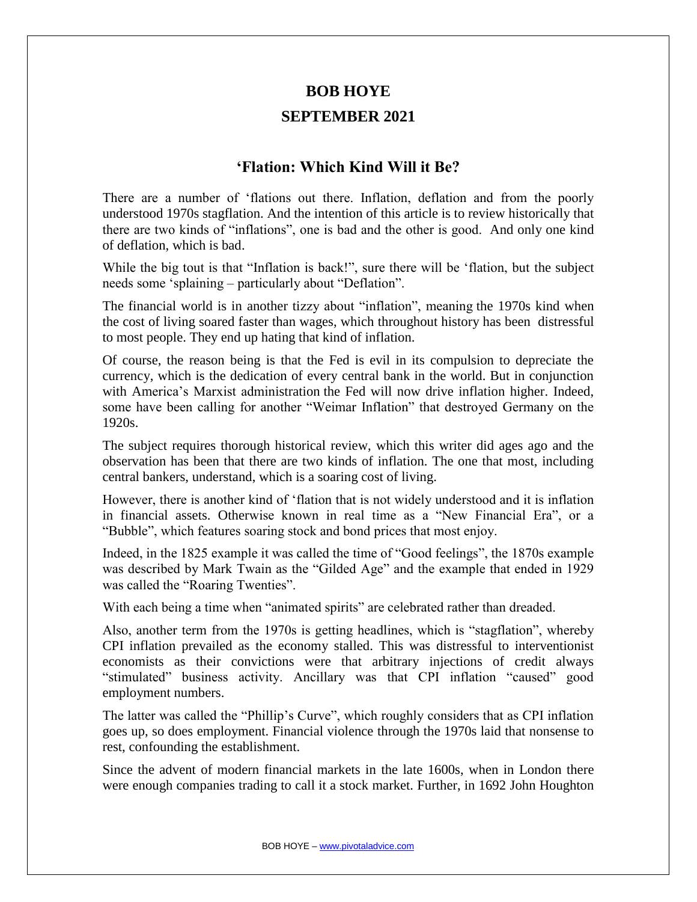## **BOB HOYE**

## **SEPTEMBER 2021**

## **'Flation: Which Kind Will it Be?**

There are a number of 'flations out there. Inflation, deflation and from the poorly understood 1970s stagflation. And the intention of this article is to review historically that there are two kinds of "inflations", one is bad and the other is good. And only one kind of deflation, which is bad.

While the big tout is that "Inflation is back!", sure there will be 'flation, but the subject needs some 'splaining – particularly about "Deflation".

The financial world is in another tizzy about "inflation", meaning the 1970s kind when the cost of living soared faster than wages, which throughout history has been distressful to most people. They end up hating that kind of inflation.

Of course, the reason being is that the Fed is evil in its compulsion to depreciate the currency, which is the dedication of every central bank in the world. But in conjunction with America's Marxist administration the Fed will now drive inflation higher. Indeed, some have been calling for another "Weimar Inflation" that destroyed Germany on the 1920s.

The subject requires thorough historical review, which this writer did ages ago and the observation has been that there are two kinds of inflation. The one that most, including central bankers, understand, which is a soaring cost of living.

However, there is another kind of 'flation that is not widely understood and it is inflation in financial assets. Otherwise known in real time as a "New Financial Era", or a "Bubble", which features soaring stock and bond prices that most enjoy.

Indeed, in the 1825 example it was called the time of "Good feelings", the 1870s example was described by Mark Twain as the "Gilded Age" and the example that ended in 1929 was called the "Roaring Twenties".

With each being a time when "animated spirits" are celebrated rather than dreaded.

Also, another term from the 1970s is getting headlines, which is "stagflation", whereby CPI inflation prevailed as the economy stalled. This was distressful to interventionist economists as their convictions were that arbitrary injections of credit always "stimulated" business activity. Ancillary was that CPI inflation "caused" good employment numbers.

The latter was called the "Phillip's Curve", which roughly considers that as CPI inflation goes up, so does employment. Financial violence through the 1970s laid that nonsense to rest, confounding the establishment.

Since the advent of modern financial markets in the late 1600s, when in London there were enough companies trading to call it a stock market. Further, in 1692 John Houghton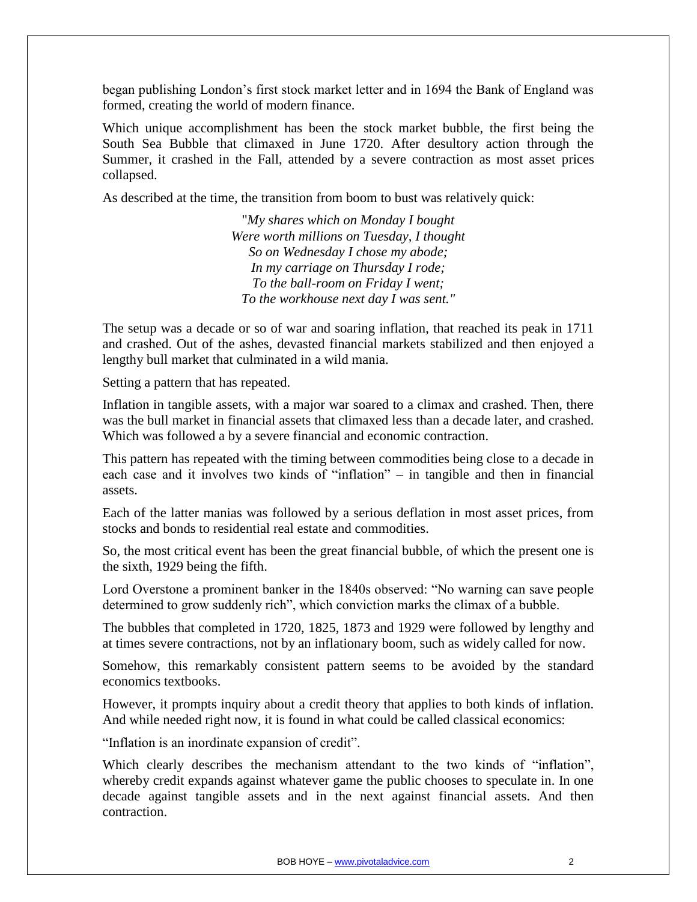began publishing London's first stock market letter and in 1694 the Bank of England was formed, creating the world of modern finance.

Which unique accomplishment has been the stock market bubble, the first being the South Sea Bubble that climaxed in June 1720. After desultory action through the Summer, it crashed in the Fall, attended by a severe contraction as most asset prices collapsed.

As described at the time, the transition from boom to bust was relatively quick:

"*My shares which on Monday I bought Were worth millions on Tuesday, I thought So on Wednesday I chose my abode; In my carriage on Thursday I rode; To the ball-room on Friday I went; To the workhouse next day I was sent."*

The setup was a decade or so of war and soaring inflation, that reached its peak in 1711 and crashed. Out of the ashes, devasted financial markets stabilized and then enjoyed a lengthy bull market that culminated in a wild mania.

Setting a pattern that has repeated.

Inflation in tangible assets, with a major war soared to a climax and crashed. Then, there was the bull market in financial assets that climaxed less than a decade later, and crashed. Which was followed a by a severe financial and economic contraction.

This pattern has repeated with the timing between commodities being close to a decade in each case and it involves two kinds of "inflation" – in tangible and then in financial assets.

Each of the latter manias was followed by a serious deflation in most asset prices, from stocks and bonds to residential real estate and commodities.

So, the most critical event has been the great financial bubble, of which the present one is the sixth, 1929 being the fifth.

Lord Overstone a prominent banker in the 1840s observed: "No warning can save people determined to grow suddenly rich", which conviction marks the climax of a bubble.

The bubbles that completed in 1720, 1825, 1873 and 1929 were followed by lengthy and at times severe contractions, not by an inflationary boom, such as widely called for now.

Somehow, this remarkably consistent pattern seems to be avoided by the standard economics textbooks.

However, it prompts inquiry about a credit theory that applies to both kinds of inflation. And while needed right now, it is found in what could be called classical economics:

"Inflation is an inordinate expansion of credit".

Which clearly describes the mechanism attendant to the two kinds of "inflation", whereby credit expands against whatever game the public chooses to speculate in. In one decade against tangible assets and in the next against financial assets. And then contraction.